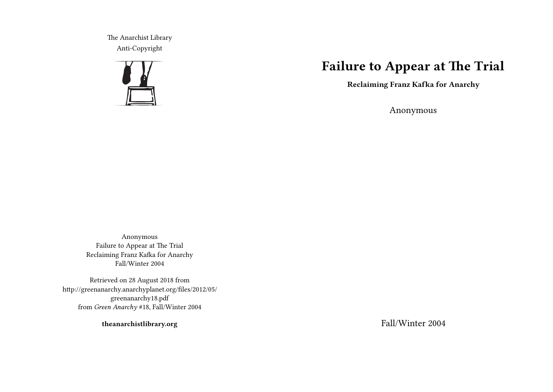The Anarchist Library Anti-Copyright



# **Failure to Appear at The Trial**

**Reclaiming Franz Kafka for Anarchy**

Anonymous

Anonymous Failure to Appear at The Trial Reclaiming Franz Kafka for Anarchy Fall/Winter 2004

Retrieved on 28 August 2018 from http://greenanarchy.anarchyplanet.org/files/2012/05/ greenanarchy18.pdf from *Green Anarchy* #18, Fall/Winter 2004

**theanarchistlibrary.org**

Fall/Winter 2004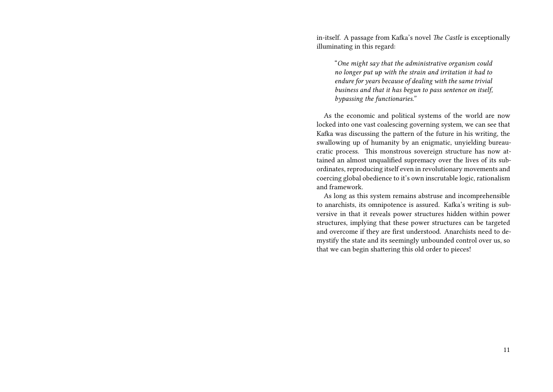in-itself. A passage from Kafka's novel *The Castle* is exceptionally illuminating in this regard:

"*One might say that the administrative organism could no longer put up with the strain and irritation it had to endure for years because of dealing with the same trivial business and that it has begun to pass sentence on itself, bypassing the functionaries."*

As the economic and political systems of the world are now locked into one vast coalescing governing system, we can see that Kafka was discussing the pattern of the future in his writing, the swallowing up of humanity by an enigmatic, unyielding bureaucratic process. This monstrous sovereign structure has now attained an almost unqualified supremacy over the lives of its subordinates, reproducing itself even in revolutionary movements and coercing global obedience to it's own inscrutable logic, rationalism and framework.

As long as this system remains abstruse and incomprehensible to anarchists, its omnipotence is assured. Kafka's writing is subversive in that it reveals power structures hidden within power structures, implying that these power structures can be targeted and overcome if they are first understood. Anarchists need to demystify the state and its seemingly unbounded control over us, so that we can begin shattering this old order to pieces!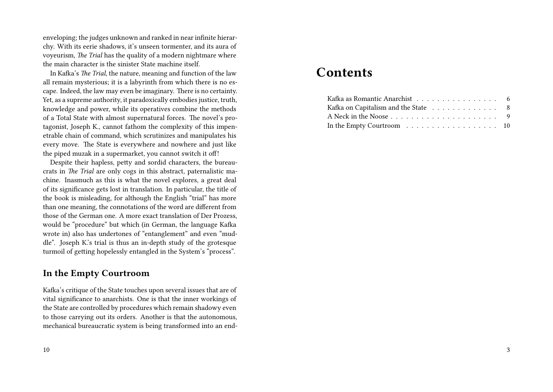enveloping; the judges unknown and ranked in near infinite hierarchy. With its eerie shadows, it's unseen tormenter, and its aura of voyeurism, *The Trial* has the quality of a modern nightmare where the main character is the sinister State machine itself.

In Kafka's *The Trial*, the nature, meaning and function of the law all remain mysterious; it is a labyrinth from which there is no escape. Indeed, the law may even be imaginary. There is no certainty. Yet, as a supreme authority, it paradoxically embodies justice, truth, knowledge and power, while its operatives combine the methods of a Total State with almost supernatural forces. The novel's protagonist, Joseph K., cannot fathom the complexity of this impenetrable chain of command, which scrutinizes and manipulates his every move. The State is everywhere and nowhere and just like the piped muzak in a supermarket, you cannot switch it off!

Despite their hapless, petty and sordid characters, the bureaucrats in *The Trial* are only cogs in this abstract, paternalistic machine. Inasmuch as this is what the novel explores, a great deal of its significance gets lost in translation. In particular, the title of the book is misleading, for although the English "trial" has more than one meaning, the connotations of the word are different from those of the German one. A more exact translation of Der Prozess, would be "procedure" but which (in German, the language Kafka wrote in) also has undertones of "entanglement" and even "muddle". Joseph K.'s trial is thus an in-depth study of the grotesque turmoil of getting hopelessly entangled in the System's "process".

## **In the Empty Courtroom**

Kafka's critique of the State touches upon several issues that are of vital significance to anarchists. One is that the inner workings of the State are controlled by procedures which remain shadowy even to those carrying out its orders. Another is that the autonomous, mechanical bureaucratic system is being transformed into an end-

# **Contents**

| Kafka as Romantic Anarchist 6       |  |
|-------------------------------------|--|
| Kafka on Capitalism and the State 8 |  |
|                                     |  |
|                                     |  |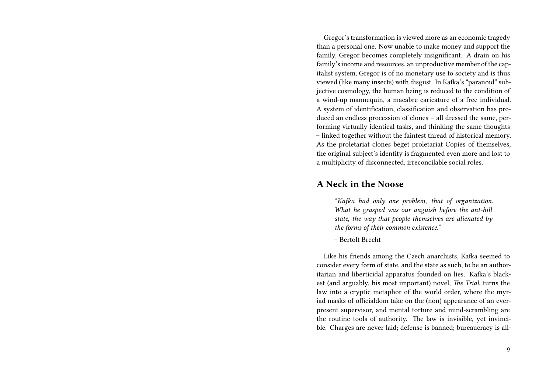Gregor's transformation is viewed more as an economic tragedy than a personal one. Now unable to make money and support the family, Gregor becomes completely insignificant. A drain on his family's income and resources, an unproductive member of the capitalist system, Gregor is of no monetary use to society and is thus viewed (like many insects) with disgust. In Kafka's "paranoid" subjective cosmology, the human being is reduced to the condition of a wind-up mannequin, a macabre caricature of a free individual. A system of identification, classification and observation has produced an endless procession of clones – all dressed the same, performing virtually identical tasks, and thinking the same thoughts – linked together without the faintest thread of historical memory. As the proletariat clones beget proletariat Copies of themselves, the original subject's identity is fragmented even more and lost to a multiplicity of disconnected, irreconcilable social roles.

#### **A Neck in the Noose**

"*Kafka had only one problem, that of organization. What he grasped was our anguish before the ant-hill state, the way that people themselves are alienated by the forms of their common existence."*

– Bertolt Brecht

Like his friends among the Czech anarchists, Kafka seemed to consider every form of state, and the state as such, to be an authoritarian and liberticidal apparatus founded on lies. Kafka's blackest (and arguably, his most important) novel, *The Trial*, turns the law into a cryptic metaphor of the world order, where the myriad masks of officialdom take on the (non) appearance of an everpresent supervisor, and mental torture and mind-scrambling are the routine tools of authority. The law is invisible, yet invincible. Charges are never laid; defense is banned; bureaucracy is all-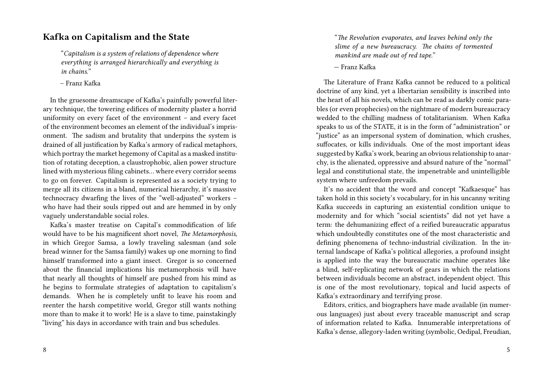## **Kafka on Capitalism and the State**

"*Capitalism is a system of relations of dependence where everything is arranged hierarchically and everything is in chains."*

– Franz Kafka

In the gruesome dreamscape of Kafka's painfully powerful literary technique, the towering edifices of modernity plaster a horrid uniformity on every facet of the environment – and every facet of the environment becomes an element of the individual's imprisonment. The sadism and brutality that underpins the system is drained of all justification by Kafka's armory of radical metaphors, which portray the market hegemony of Capital as a masked institution of rotating deception, a claustrophobic, alien power structure lined with mysterious filing cabinets… where every corridor seems to go on forever. Capitalism is represented as a society trying to merge all its citizens in a bland, numerical hierarchy, it's massive technocracy dwarfing the lives of the "well-adjusted" workers – who have had their souls ripped out and are hemmed in by only vaguely understandable social roles.

Kafka's master treatise on Capital's commodification of life would have to be his magnificent short novel, *The Metamorphosis*, in which Gregor Samsa, a lowly traveling salesman (and sole bread winner for the Samsa family) wakes up one morning to find himself transformed into a giant insect. Gregor is so concerned about the financial implications his metamorphosis will have that nearly all thoughts of himself are pushed from his mind as he begins to formulate strategies of adaptation to capitalism's demands. When he is completely unfit to leave his room and reenter the harsh competitive world, Gregor still wants nothing more than to make it to work! He is a slave to time, painstakingly "living" his days in accordance with train and bus schedules.

8

"*The Revolution evaporates, and leaves behind only the slime of a new bureaucracy. The chains of tormented mankind are made out of red tape."*

— Franz Kafka

The Literature of Franz Kafka cannot be reduced to a political doctrine of any kind, yet a libertarian sensibility is inscribed into the heart of all his novels, which can be read as darkly comic parables (or even prophecies) on the nightmare of modern bureaucracy wedded to the chilling madness of totalitarianism. When Kafka speaks to us of the STATE, it is in the form of "administration" or "justice" as an impersonal system of domination, which crushes, suffocates, or kills individuals. One of the most important ideas suggested by Kafka's work, bearing an obvious relationship to anarchy, is the alienated, oppressive and absurd nature of the "normal" legal and constitutional state, the impenetrable and unintelligible system where unfreedom prevails.

It's no accident that the word and concept "Kafkaesque" has taken hold in this society's vocabulary, for in his uncanny writing Kafka succeeds in capturing an existential condition unique to modernity and for which "social scientists" did not yet have a term: the dehumanizing effect of a reified bureaucratic apparatus which undoubtedly constitutes one of the most characteristic and defining phenomena of techno-industrial civilization. In the internal landscape of Kafka's political allegories, a profound insight is applied into the way the bureaucratic machine operates like a blind, self-replicating network of gears in which the relations between individuals become an abstract, independent object. This is one of the most revolutionary, topical and lucid aspects of Kafka's extraordinary and terrifying prose.

Editors, critics, and biographers have made available (in numerous languages) just about every traceable manuscript and scrap of information related to Kafka. Innumerable interpretations of Kafka's dense, allegory-laden writing (symbolic, Oedipal, Freudian,